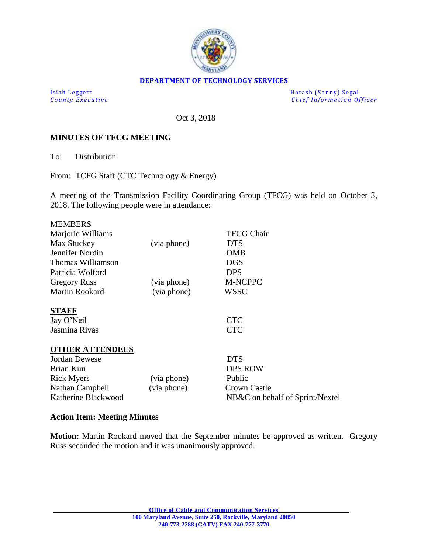

### **DEPARTMENT OF TECHNOLOGY SERVICES**

Isiah Leggett<br>
County Executive County Executive<br>
County Executive Chief Information Of *Chief Information Officer* 

Oct 3, 2018

#### **MINUTES OF TFCG MEETING**

To: Distribution

From: TCFG Staff (CTC Technology & Energy)

A meeting of the Transmission Facility Coordinating Group (TFCG) was held on October 3, 2018. The following people were in attendance:

| <b>MEMBERS</b>         |             |                                 |
|------------------------|-------------|---------------------------------|
| Marjorie Williams      |             | <b>TFCG Chair</b>               |
| Max Stuckey            | (via phone) | <b>DTS</b>                      |
| Jennifer Nordin        |             | OMB                             |
| Thomas Williamson      |             | DGS                             |
| Patricia Wolford       |             | DPS                             |
| <b>Gregory Russ</b>    | (via phone) | M-NCPPC                         |
| Martin Rookard         | (via phone) | WSSC                            |
| <b>STAFF</b>           |             |                                 |
| Jay O'Neil             |             | <b>CTC</b>                      |
| Jasmina Rivas          |             | <b>CTC</b>                      |
| <b>OTHER ATTENDEES</b> |             |                                 |
| Jordan Dewese          |             | <b>DTS</b>                      |
| Brian Kim              |             | <b>DPS ROW</b>                  |
| <b>Rick Myers</b>      | (via phone) | Public                          |
| Nathan Campbell        | (via phone) | <b>Crown Castle</b>             |
| Katherine Blackwood    |             | NB&C on behalf of Sprint/Nextel |

## **Action Item: Meeting Minutes**

**Motion:** Martin Rookard moved that the September minutes be approved as written. Gregory Russ seconded the motion and it was unanimously approved.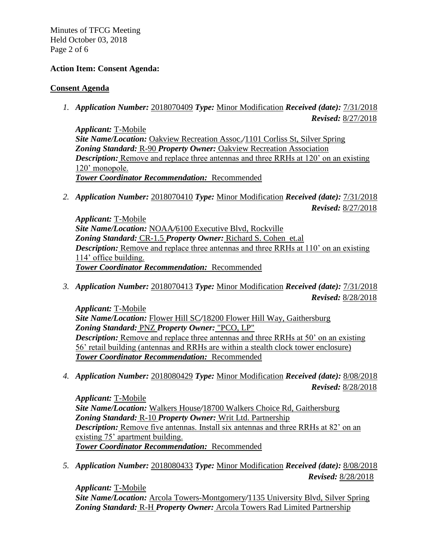Minutes of TFCG Meeting Held October 03, 2018 Page 2 of 6

## **Action Item: Consent Agenda:**

#### **Consent Agenda**

*1. Application Number:* 2018070409 *Type:* Minor Modification *Received (date):* 7/31/2018 *Revised:* 8/27/2018

*Applicant:* T-Mobile *Site Name/Location:* Oakview Recreation Assoc.*/*1101 Corliss St, Silver Spring *Zoning Standard:* R-90 *Property Owner:* Oakview Recreation Association *Description:* Remove and replace three antennas and three RRHs at 120' on an existing 120' monopole. *Tower Coordinator Recommendation:* Recommended

*2. Application Number:* 2018070410 *Type:* Minor Modification *Received (date):* 7/31/2018 *Revised:* 8/27/2018

*Applicant:* T-Mobile *Site Name/Location:* NOAA*/*6100 Executive Blvd, Rockville *Zoning Standard:* CR-1.5 *Property Owner:* Richard S. Cohen et.al *Description:* Remove and replace three antennas and three RRHs at 110' on an existing 114' office building. *Tower Coordinator Recommendation:* Recommended

*3. Application Number:* 2018070413 *Type:* Minor Modification *Received (date):* 7/31/2018 *Revised:* 8/28/2018

*Applicant:* T-Mobile *Site Name/Location:* Flower Hill SC*/*18200 Flower Hill Way, Gaithersburg *Zoning Standard:* PNZ *Property Owner:* "PCO, LP" *Description:* Remove and replace three antennas and three RRHs at 50' on an existing 56' retail building (antennas and RRHs are within a stealth clock tower enclosure) *Tower Coordinator Recommendation:* Recommended

*4. Application Number:* 2018080429 *Type:* Minor Modification *Received (date):* 8/08/2018 *Revised:* 8/28/2018

*Applicant:* T-Mobile *Site Name/Location:* Walkers House*/*18700 Walkers Choice Rd, Gaithersburg *Zoning Standard:* R-10 *Property Owner:* Writ Ltd. Partnership *Description:* Remove five antennas. Install six antennas and three RRHs at 82' on an existing 75' apartment building. *Tower Coordinator Recommendation:* Recommended

*5. Application Number:* 2018080433 *Type:* Minor Modification *Received (date):* 8/08/2018 *Revised:* 8/28/2018

*Applicant:* T-Mobile *Site Name/Location:* Arcola Towers-Montgomery*/*1135 University Blvd, Silver Spring *Zoning Standard:* R-H *Property Owner:* Arcola Towers Rad Limited Partnership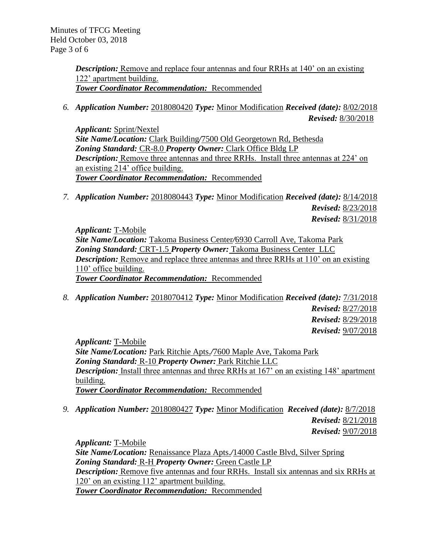Minutes of TFCG Meeting Held October 03, 2018 Page 3 of 6

> *Description:* Remove and replace four antennas and four RRHs at 140' on an existing 122' apartment building. *Tower Coordinator Recommendation:* Recommended

*6. Application Number:* 2018080420 *Type:* Minor Modification *Received (date):* 8/02/2018 *Revised:* 8/30/2018

*Applicant:* Sprint/Nextel *Site Name/Location:* Clark Building*/*7500 Old Georgetown Rd, Bethesda *Zoning Standard:* CR-8.0 *Property Owner:* Clark Office Bldg LP *Description:* Remove three antennas and three RRHs. Install three antennas at 224' on an existing 214' office building. *Tower Coordinator Recommendation:* Recommended

*7. Application Number:* 2018080443 *Type:* Minor Modification *Received (date):* 8/14/2018 *Revised:* 8/23/2018 *Revised:* 8/31/2018

*Applicant:* T-Mobile *Site Name/Location:* Takoma Business Center*/*6930 Carroll Ave, Takoma Park *Zoning Standard:* CRT-1.5 *Property Owner:* Takoma Business Center LLC *Description:* Remove and replace three antennas and three RRHs at 110' on an existing 110' office building. *Tower Coordinator Recommendation:* Recommended

*8. Application Number:* 2018070412 *Type:* Minor Modification *Received (date):* 7/31/2018 *Revised:* 8/27/2018 *Revised:* 8/29/2018 *Revised:* 9/07/2018

*Applicant:* T-Mobile *Site Name/Location:* Park Ritchie Apts.*/*7600 Maple Ave, Takoma Park *Zoning Standard:* R-10 *Property Owner:* Park Ritchie LLC *Description:* Install three antennas and three RRHs at 167' on an existing 148' apartment building. *Tower Coordinator Recommendation:* Recommended

*9. Application Number:* 2018080427 *Type:* Minor Modification *Received (date):* 8/7/2018 *Revised:* 8/21/2018 *Revised:* 9/07/2018

*Applicant:* T-Mobile *Site Name/Location:* Renaissance Plaza Apts.*/*14000 Castle Blvd, Silver Spring *Zoning Standard:* R-H *Property Owner:* Green Castle LP *Description:* Remove five antennas and four RRHs. Install six antennas and six RRHs at 120' on an existing 112' apartment building. *Tower Coordinator Recommendation:* Recommended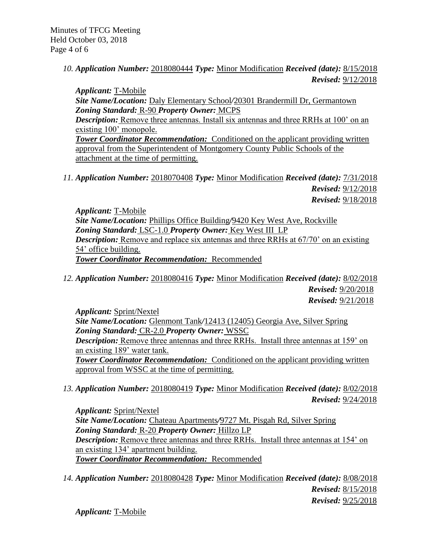Minutes of TFCG Meeting Held October 03, 2018 Page 4 of 6

> *10. Application Number:* 2018080444 *Type:* Minor Modification *Received (date):* 8/15/2018 *Revised:* 9/12/2018

*Applicant:* T-Mobile *Site Name/Location:* Daly Elementary School*/*20301 Brandermill Dr, Germantown *Zoning Standard:* R-90 *Property Owner:* MCPS *Description:* Remove three antennas. Install six antennas and three RRHs at 100' on an existing 100' monopole. **Tower Coordinator Recommendation:** Conditioned on the applicant providing written approval from the Superintendent of Montgomery County Public Schools of the attachment at the time of permitting.

*11. Application Number:* 2018070408 *Type:* Minor Modification *Received (date):* 7/31/2018 *Revised:* 9/12/2018 *Revised:* 9/18/2018

*Applicant:* T-Mobile *Site Name/Location:* Phillips Office Building*/*9420 Key West Ave, Rockville *Zoning Standard:* LSC-1.0 *Property Owner:* Key West III LP *Description:* Remove and replace six antennas and three RRHs at 67/70' on an existing 54' office building. *Tower Coordinator Recommendation:* Recommended

*12. Application Number:* 2018080416 *Type:* Minor Modification *Received (date):* 8/02/2018 *Revised:* 9/20/2018 *Revised:* 9/21/2018

*Applicant:* Sprint/Nextel *Site Name/Location:* Glenmont Tank*/*12413 (12405) Georgia Ave, Silver Spring *Zoning Standard:* CR-2.0 *Property Owner:* WSSC *Description:* Remove three antennas and three RRHs. Install three antennas at 159' on an existing 189' water tank. *Tower Coordinator Recommendation:* Conditioned on the applicant providing written approval from WSSC at the time of permitting.

*13. Application Number:* 2018080419 *Type:* Minor Modification *Received (date):* 8/02/2018 *Revised:* 9/24/2018

*Applicant:* Sprint/Nextel *Site Name/Location:* Chateau Apartments*/*9727 Mt. Pisgah Rd, Silver Spring *Zoning Standard:* R-20 *Property Owner:* Hillzo LP *Description:* Remove three antennas and three RRHs. Install three antennas at 154' on an existing 134' apartment building. *Tower Coordinator Recommendation:* Recommended

*14. Application Number:* 2018080428 *Type:* Minor Modification *Received (date):* 8/08/2018 *Revised:* 8/15/2018 *Revised:* 9/25/2018

*Applicant:* T-Mobile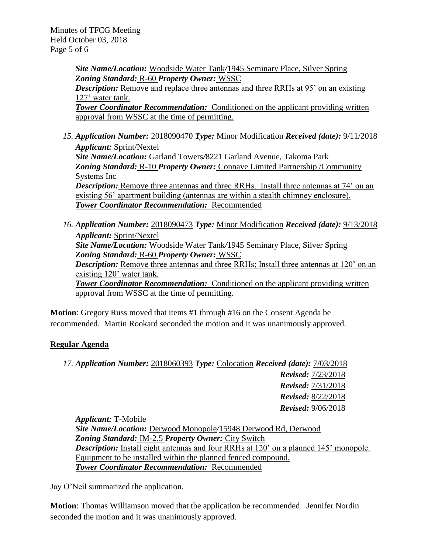Minutes of TFCG Meeting Held October 03, 2018 Page 5 of 6

> *Site Name/Location:* Woodside Water Tank*/*1945 Seminary Place, Silver Spring *Zoning Standard:* R-60 *Property Owner:* WSSC *Description:* Remove and replace three antennas and three RRHs at 95' on an existing 127' water tank. **Tower Coordinator Recommendation:** Conditioned on the applicant providing written approval from WSSC at the time of permitting.

- *15. Application Number:* 2018090470 *Type:* Minor Modification *Received (date):* 9/11/2018 *Applicant:* Sprint/Nextel *Site Name/Location:* Garland Towers*/*8221 Garland Avenue, Takoma Park *Zoning Standard:* R-10 *Property Owner:* Connave Limited Partnership /Community Systems Inc *Description:* Remove three antennas and three RRHs. Install three antennas at 74' on an existing 56' apartment building (antennas are within a stealth chimney enclosure). *Tower Coordinator Recommendation:* Recommended
- *16. Application Number:* 2018090473 *Type:* Minor Modification *Received (date):* 9/13/2018 *Applicant:* Sprint/Nextel *Site Name/Location:* Woodside Water Tank*/*1945 Seminary Place, Silver Spring *Zoning Standard:* R-60 *Property Owner:* WSSC **Description:** Remove three antennas and three RRHs; Install three antennas at 120' on an existing 120' water tank. **Tower Coordinator Recommendation:** Conditioned on the applicant providing written approval from WSSC at the time of permitting.

**Motion**: Gregory Russ moved that items #1 through #16 on the Consent Agenda be recommended. Martin Rookard seconded the motion and it was unanimously approved.

## **Regular Agenda**

*17. Application Number:* 2018060393 *Type:* Colocation *Received (date):* 7/03/2018 *Revised:* 7/23/2018 *Revised:* 7/31/2018 *Revised:* 8/22/2018 *Revised:* 9/06/2018

*Applicant:* T-Mobile *Site Name/Location:* Derwood Monopole*/*15948 Derwood Rd, Derwood *Zoning Standard:* IM-2.5 *Property Owner:* City Switch *Description:* Install eight antennas and four RRHs at 120' on a planned 145' monopole. Equipment to be installed within the planned fenced compound. *Tower Coordinator Recommendation:* Recommended

Jay O'Neil summarized the application.

**Motion**: Thomas Williamson moved that the application be recommended. Jennifer Nordin seconded the motion and it was unanimously approved.